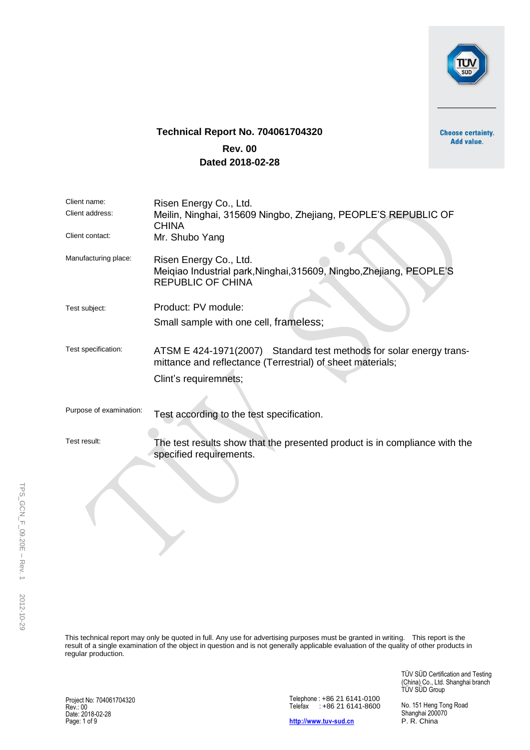

# **Technical Report No. 704061704320**

Add value.

# **Rev. 00 Dated 2018-02-28**

| Client name:<br>Client address:<br>Client contact: | Risen Energy Co., Ltd.<br>Meilin, Ninghai, 315609 Ningbo, Zhejiang, PEOPLE'S REPUBLIC OF<br><b>CHINA</b><br>Mr. Shubo Yang                                 |
|----------------------------------------------------|------------------------------------------------------------------------------------------------------------------------------------------------------------|
| Manufacturing place:                               | Risen Energy Co., Ltd.<br>Meiqiao Industrial park, Ninghai, 315609, Ningbo, Zhejiang, PEOPLE'S<br><b>REPUBLIC OF CHINA</b>                                 |
| Test subject:                                      | Product: PV module:<br>Small sample with one cell, frameless;                                                                                              |
| Test specification:                                | ATSM E 424-1971(2007) Standard test methods for solar energy trans-<br>mittance and reflectance (Terrestrial) of sheet materials;<br>Clint's requiremnets; |
| Purpose of examination:                            | Test according to the test specification.                                                                                                                  |
| Test result:                                       | The test results show that the presented product is in compliance with the<br>specified requirements.                                                      |

This technical report may only be quoted in full. Any use for advertising purposes must be granted in writing. This report is the result of a single examination of the object in question and is not generally applicable evaluation of the quality of other products in regular production.

> TÜV SÜD Certification and Testing (China) Co., Ltd. Shanghai branch TUV SUD Group

Project No: 704061704320 Rev.: 00 Date: 2018-02-28 Page: 1 of 9

Telephone : +86 21 6141-0100 Telefax : +86 21 6141-8600

**[http://www.tuv-sud.cn](http://www.tuvps.com.cn/)**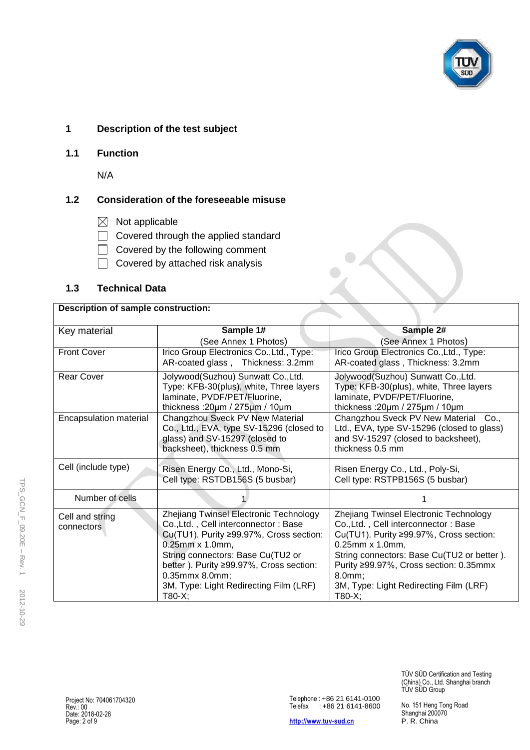

#### **1 Description of the test subject**

**1.1 Function** 

N/A

### **1.2 Consideration of the foreseeable misuse**

- $\boxtimes$  Not applicable
- Covered through the applied standard
- Covered by the following comment
- $\Box$ Covered by attached risk analysis

#### **1.3 Technical Data**

#### **Description of sample construction:**

| Key material           | Sample 1#                                    | Sample 2#                                          |  |  |  |  |  |  |
|------------------------|----------------------------------------------|----------------------------------------------------|--|--|--|--|--|--|
|                        | (See Annex 1 Photos)                         | (See Annex 1 Photos)                               |  |  |  |  |  |  |
| <b>Front Cover</b>     | Irico Group Electronics Co., Ltd., Type:     | Irico Group Electronics Co., Ltd., Type:           |  |  |  |  |  |  |
|                        | AR-coated glass, Thickness: 3.2mm            | AR-coated glass, Thickness: 3.2mm                  |  |  |  |  |  |  |
| <b>Rear Cover</b>      | Jolywood(Suzhou) Sunwatt Co., Ltd.           | Jolywood(Suzhou) Sunwatt Co., Ltd.                 |  |  |  |  |  |  |
|                        | Type: KFB-30(plus), white, Three layers      | Type: KFB-30(plus), white, Three layers            |  |  |  |  |  |  |
|                        | laminate, PVDF/PET/Fluorine,                 | laminate, PVDF/PET/Fluorine,                       |  |  |  |  |  |  |
|                        | thickness: $20 \mu m / 275 \mu m / 10 \mu m$ | thickness: $20 \mu m / 275 \mu m / 10 \mu m$       |  |  |  |  |  |  |
| Encapsulation material | Changzhou Sveck PV New Material              | Changzhou Sveck PV New Material<br>Co <sub>1</sub> |  |  |  |  |  |  |
|                        | Co., Ltd., EVA, type SV-15296 (closed to     | Ltd., EVA, type SV-15296 (closed to glass)         |  |  |  |  |  |  |
|                        | glass) and SV-15297 (closed to               | and SV-15297 (closed to backsheet),                |  |  |  |  |  |  |
|                        | backsheet), thickness 0.5 mm                 | thickness 0.5 mm                                   |  |  |  |  |  |  |
| Cell (include type)    | Risen Energy Co., Ltd., Mono-Si,             | Risen Energy Co., Ltd., Poly-Si,                   |  |  |  |  |  |  |
|                        | Cell type: RSTDB156S (5 busbar)              | Cell type: RSTPB156S (5 busbar)                    |  |  |  |  |  |  |
|                        |                                              |                                                    |  |  |  |  |  |  |
| Number of cells        |                                              |                                                    |  |  |  |  |  |  |
| Cell and string        | Zhejiang Twinsel Electronic Technology       | Zhejiang Twinsel Electronic Technology             |  |  |  |  |  |  |
| connectors             | Co., Ltd., Cell interconnector: Base         | Co., Ltd., Cell interconnector: Base               |  |  |  |  |  |  |
|                        | Cu(TU1). Purity ≥99.97%, Cross section:      | Cu(TU1). Purity ≥99.97%, Cross section:            |  |  |  |  |  |  |
|                        | 0.25mm x 1.0mm,                              | 0.25mm x 1.0mm,                                    |  |  |  |  |  |  |
|                        | String connectors: Base Cu(TU2 or            | String connectors: Base Cu(TU2 or better).         |  |  |  |  |  |  |
|                        | better). Purity ≥99.97%, Cross section:      | Purity ≥99.97%, Cross section: 0.35mmx             |  |  |  |  |  |  |
|                        | 0.35mmx 8.0mm;                               | 8.0mm;                                             |  |  |  |  |  |  |
|                        | 3M, Type: Light Redirecting Film (LRF)       | 3M, Type: Light Redirecting Film (LRF)             |  |  |  |  |  |  |
|                        | T80-X;                                       | $T80-X;$                                           |  |  |  |  |  |  |

No. 151 Heng Tong Road Shanghai 200070 P. R. China

TÜV SÜD Certification and Testing (China) Co., Ltd. Shanghai branch

TUV SUD Group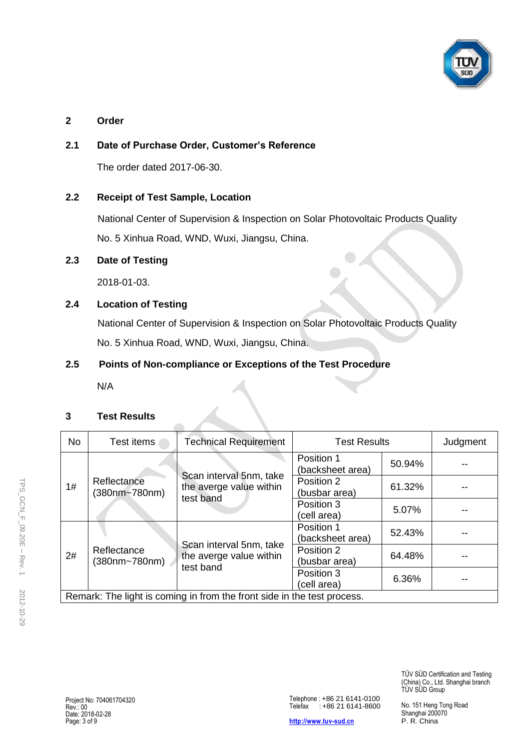

#### **2 Order**

## **2.1 Date of Purchase Order, Customer's Reference**

The order dated 2017-06-30.

### **2.2 Receipt of Test Sample, Location**

National Center of Supervision & Inspection on Solar Photovoltaic Products Quality No. 5 Xinhua Road, WND, Wuxi, Jiangsu, China.

### **2.3 Date of Testing**

2018-01-03.

# **2.4 Location of Testing**

National Center of Supervision & Inspection on Solar Photovoltaic Products Quality No. 5 Xinhua Road, WND, Wuxi, Jiangsu, China.

### **2.5 Points of Non-compliance or Exceptions of the Test Procedure**

 $\sqrt{2}$ 

N/A

#### **3 Test Results**

| <b>No</b>                                                               | Test items                   | <b>Technical Requirement</b>                                    | <b>Test Results</b>            |        | Judgment |  |  |
|-------------------------------------------------------------------------|------------------------------|-----------------------------------------------------------------|--------------------------------|--------|----------|--|--|
| 1#                                                                      | Reflectance<br>(380nm~780nm) | Scan interval 5nm, take<br>the averge value within<br>test band | Position 1<br>(backsheet area) | 50.94% |          |  |  |
|                                                                         |                              |                                                                 | Position 2<br>(busbar area)    | 61.32% |          |  |  |
|                                                                         |                              |                                                                 | Position 3<br>(cell area)      | 5.07%  |          |  |  |
| 2#                                                                      | Reflectance<br>(380nm~780nm) | Scan interval 5nm, take<br>the averge value within<br>test band | Position 1<br>(backsheet area) | 52.43% |          |  |  |
|                                                                         |                              |                                                                 | Position 2<br>(busbar area)    | 64.48% |          |  |  |
|                                                                         |                              |                                                                 | Position 3<br>(cell area)      | 6.36%  |          |  |  |
| Remark: The light is coming in from the front side in the test process. |                              |                                                                 |                                |        |          |  |  |

**[http://www.tuv-sud.cn](http://www.tuvps.com.cn/)**

TÜV SÜD Certification and Testing (China) Co., Ltd. Shanghai branch TÜV SÜD Group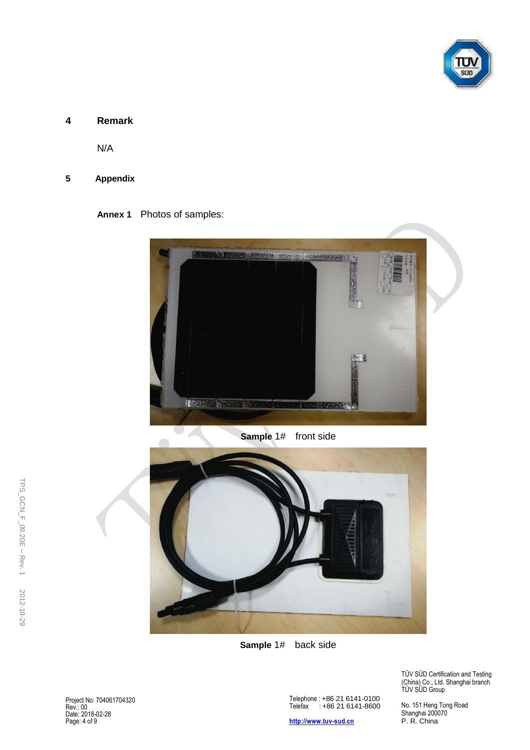

#### **4 Remark**

N/A

#### **5 Appendix**

**Annex 1** Photos of samples:



**Sample** 1# front side



**Sample** 1# back side

Project No: 704061704320 Rev.: 00 Date: 2018-02-28 Page: 4 of 9

Telephone : +86 21 6141-0100 Telefax : +86 21 6141-8600

**[http://www.tuv-sud.cn](http://www.tuvps.com.cn/)**

TÜV SÜD Certification and Testing (China) Co., Ltd. Shanghai branch TUV SUD Group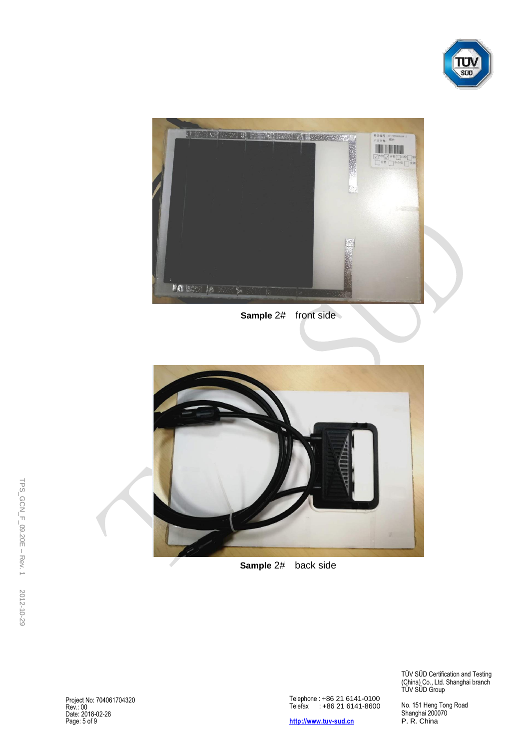



**Sample 2#** front side



**Sample** 2# back side

Project No: 704061704320 Rev.: 00 Date: 2018-02-28 Page: 5 of 9

Telephone : +86 21 6141-0100 Telefax : +86 21 6141-8600

**[http://www.tuv-sud.cn](http://www.tuvps.com.cn/)**

TÜV SÜD Certification and Testing (China) Co., Ltd. Shanghai branch TUV SUD Group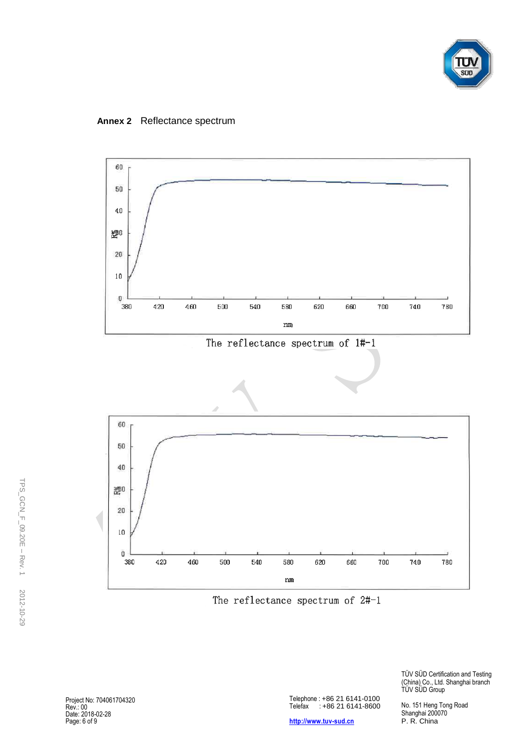

**Annex 2** Reflectance spectrum





The reflectance spectrum of 2#-1

Project No: 704061704320 Rev.: 00 Date: 2018-02-28 Page: 6 of 9

 $\bf 0$ 

380

Telephone : +86 21 6141-0100 Telefax : +86 21 6141-8600

**[http://www.tuv-sud.cn](http://www.tuvps.com.cn/)**

TÜV SÜD Certification and Testing (China) Co., Ltd. Shanghai branch TUV SUD Group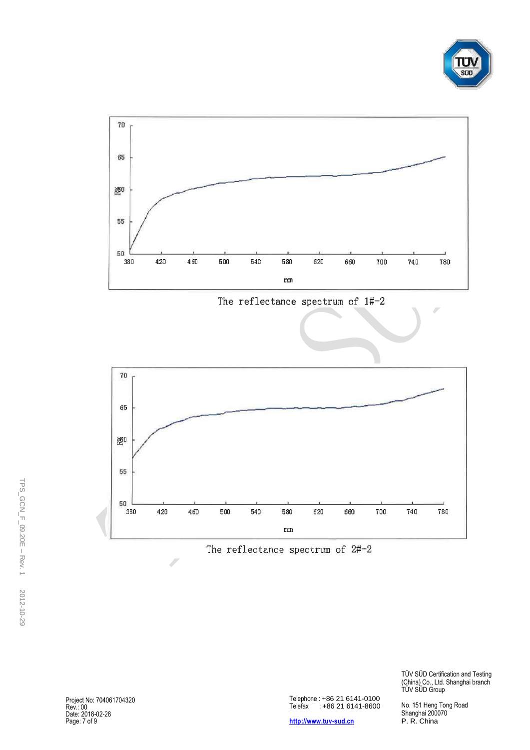



The reflectance spectrum of 2#-2

Telephone : +86 21 6141 -0100 Telefax : +86 21 6141 -8600

**[http://www.tu](http://www.tuvps.com.cn/)v-sud.cn** 

TÜV SÜD Certification and Testing (China) Co., Ltd. Shanghai branch TUV SUD Group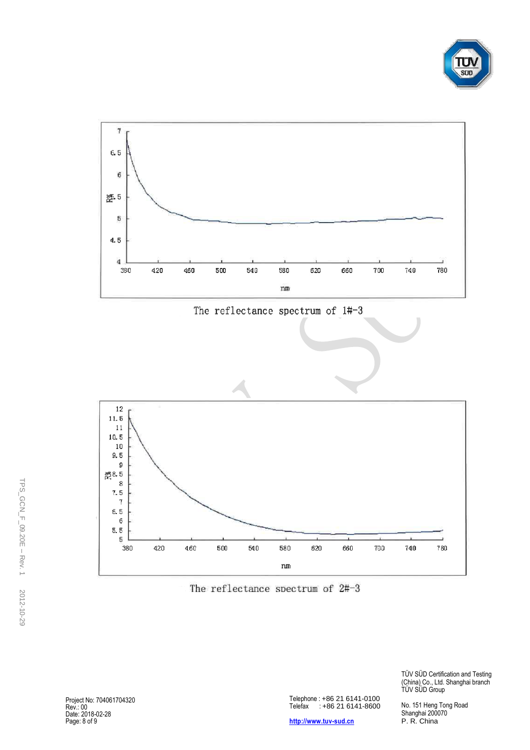



The reflectance spectrum of 1#-3



The reflectance spectrum of 2#-3

Project No: 704061704320 Rev.: 00 Date: 201 8 -02 -28 Page: 8 of 9

Telephone : +86 21 6141 -0100 Telefax : +86 21 6141 -8600

**[http://www.tu](http://www.tuvps.com.cn/)v-sud.cn** 

TÜV SÜD Certification and Testing (China) Co., Ltd. Shanghai branch TUV SUD Group